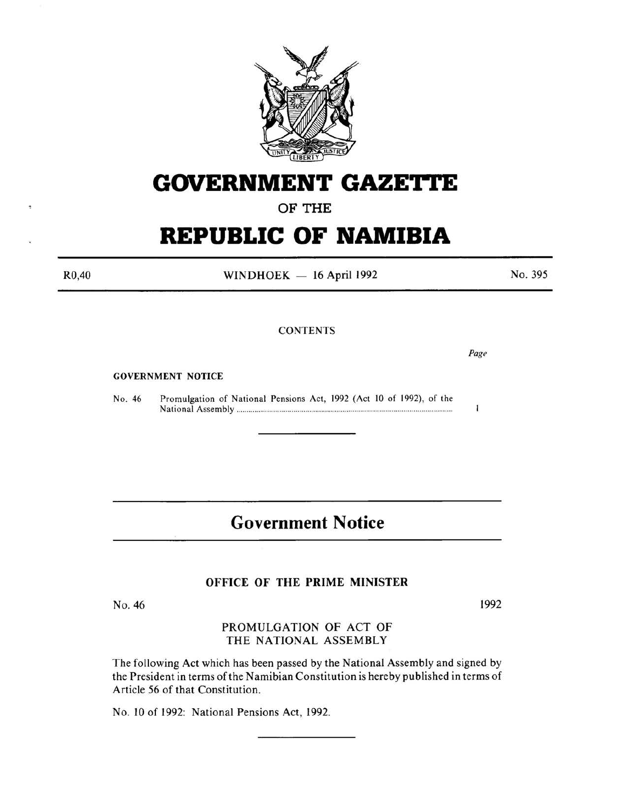

# **GOVERNMENT GAZETTE**

OF THE

# **REPUBLIC OF NAMIBIA**

R0,40

WINDHOEK  $-16$  April 1992

No. 395

## CONTENTS

GOVERNMENT NOTICE

No. 46 Promulgation of National Pensions Act, 1992 (Act 10 of 1992), of the National Assembly ............ ............................................................................. .

# **Government Notice**

### OFFICE OF THE PRIME MINISTER

No. 46

1992

PROMULGATION OF ACT OF THE NATIONAL ASSEMBLY

The following Act which has been passed by the National Assembly and signed by the President in terms of the Namibian Constitution is hereby published in terms of Article 56 of that Constitution.

No. 10 of 1992: National Pensions Act, 1992.

*Page* 

 $\mathbf{I}$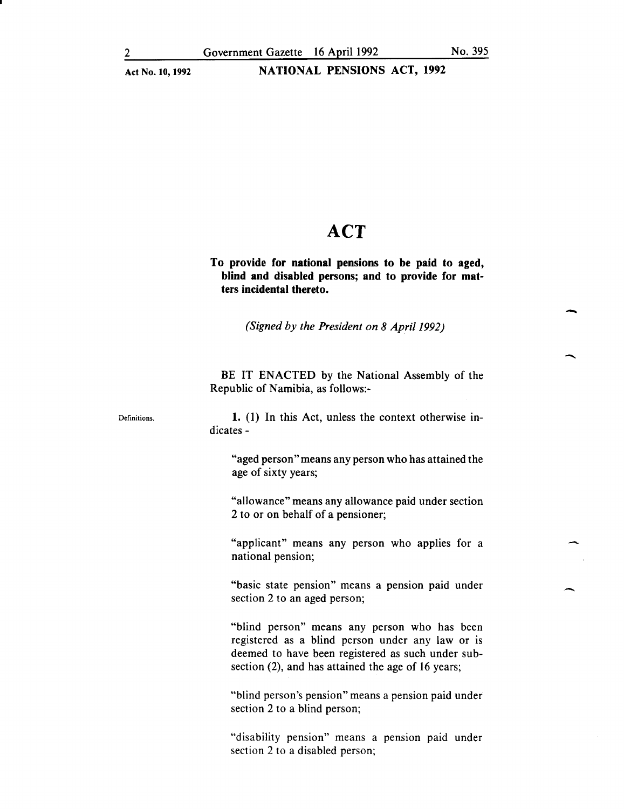## **ACT**

To provide for national pensions to be paid to aged, blind and disabled persons; and to provide for matters incidental thereto.

*(Signed by the President on 8 Apri/1992)* 

BE IT ENACTED by the National Assembly of the Republic of Namibia, as follows:-

1. (1) In this Act, unless the context otherwise indicates-

> "aged person" means any person who has attained the age of sixty years;

> "allowance" means any allowance paid under section 2 to or on behalf of a pensioner;

> "applicant" means any person who applies for a national pension;

> "basic state pension" means a pension paid under section 2 to an aged person;

> "blind person" means any person who has been registered as a blind person under any law or is deemed to have been registered as such under subsection (2), and has attained the age of 16 years;

> "blind person's pension" means a pension paid under section 2 to a blind person;

> "disability pension" means a pension paid under section 2 to a disabled person;

-

-

 $\overline{\phantom{a}}$ 

Definitions.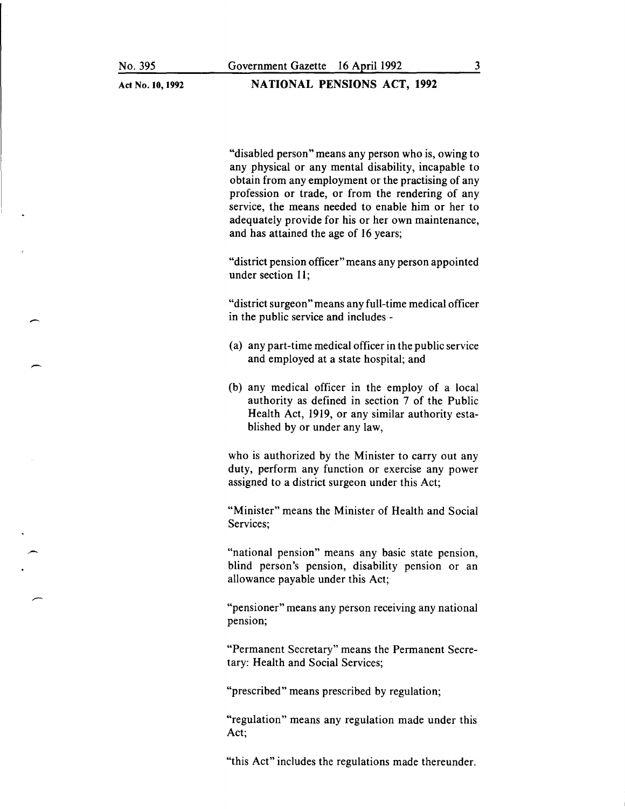-

-

Act No. **10, 1992** 

**NATIONAL PENSIONS ACT, 1992** 

"disabled person" means any person who is, owing to any physical or any mental disability, incapable to obtain from any employment or the practising of any profession or trade, or from the rendering of any service, the means needed to enable him or her to adequately provide for his or her own maintenance, and has attained the age of 16 years;

"district pension officer" means any person appointed under section 11;

"district surgeon" means any full-time medical officer in the public service and includes -

- (a) any part-time medical officer in the public service and employed at a state hospital; and
- (b) any medical officer in the employ of a local authority as defined in section 7 of the Public Health Act, 1919, or any similar authority established by or under any law,

who is authorized by the Minister to carry out any duty, perform any function or exercise any power assigned to a district surgeon under this Act;

"Minister" means the Minister of Health and Social Services;

"national pension" means any basic state pension, blind person's pension, disability pension or an allowance payable under this Act;

"pensioner" means any person receiving any national pension;

"Permanent Secretary" means the Permanent Secretary: Health and Social Services;

"prescribed" means prescribed by regulation;

"regulation" means any regulation made under this Act;

"this Act" includes the regulations made thereunder.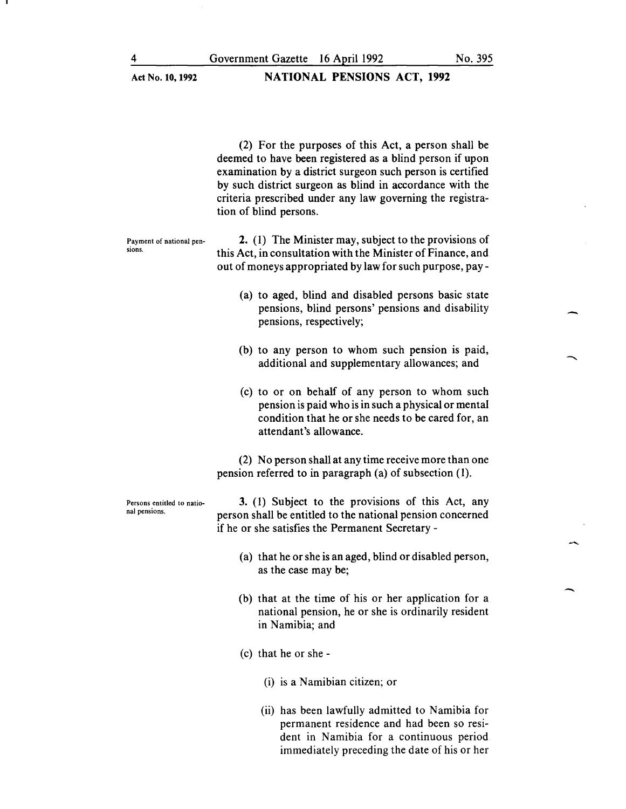(2) For the purposes of this Act, a person shall be deemed to have been registered as a blind person if upon examination by a district surgeon such person is certified by such district surgeon as blind in accordance with the criteria prescribed under any law governing the registration of blind persons.

Payment of national pensions.

2. (1) The Minister may, subject to the provisions of this Act, in consultation with the Minister of Finance, and out of moneys appropriated by law for such purpose, pay-

- (a) to aged, blind and disabled persons basic state pensions, blind persons' pensions and disability pensions, respectively;
- (b) to any person to whom such pension is paid, additional and supplementary allowances; and
- (c) to or on behalf of any person to whom such pension is paid who is in such a physical or mental condition that he or she needs to be cared for, an attendant's allowance.

(2) No person shall at any time receive more than one pension referred to in paragraph (a) of subsection (1).

Persons entitled to national pensions.

3. (1) Subject to the provisions of this Act, any person shall be entitled to the national pension concerned if he or she satisfies the Permanent Secretary -

- (a) that he or she is an aged, blind or disabled person, as the case may be;
- (b) that at the time of his or her application for a national pension, he or she is ordinarily resident in Namibia; and
- (c) that he or she-
	- (i) is a Namibian citizen; or
	- (ii) has been lawfully admitted to Namibia for permanent residence and had been so resident in Namibia for a continuous period immediately preceding the date of his or her

-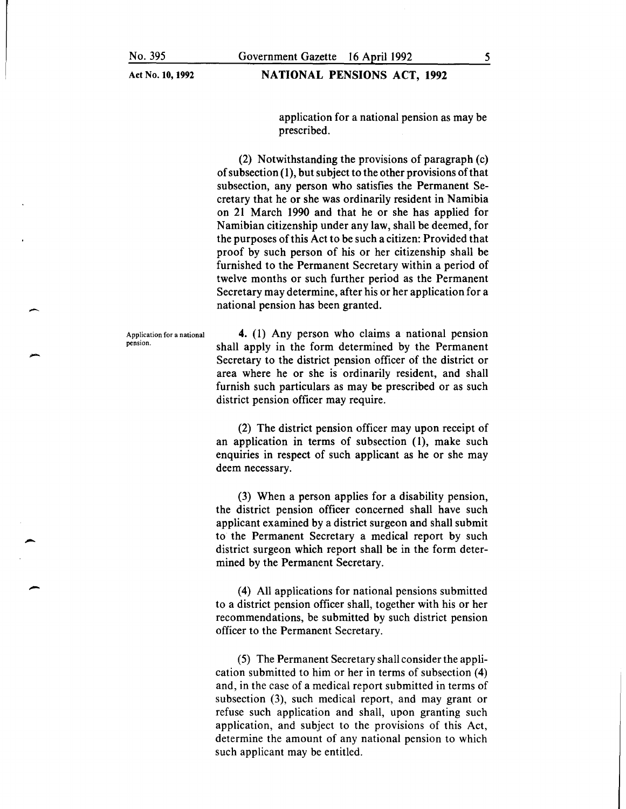## NATIONAL PENSIONS ACT, 1992

application for a national pension as may be prescribed.

(2) Notwithstanding the provisions of paragraph (c) of subsection  $(1)$ , but subject to the other provisions of that subsection, any person who satisfies the Permanent Secretary that he or she was ordinarily resident in Namibia on 21 March 1990 and that he or she has applied for Namibian citizenship under any law, shall be deemed, for the purposes of this Act to be such a citizen: Provided that proof by such person of his or her citizenship shall be furnished to the Permanent Secretary within a period of twelve months or such further period as the Permanent Secretary may determine, after his or her application for a national pension has been granted.

Application for a national pension.

-

-

-

-

4. (1) Any person who claims a national pension shall apply in the form determined by the Permanent Secretary to the district pension officer of the district or area where he or she is ordinarily resident, and shall furnish such particulars as may be prescribed or as such district pension officer may require.

(2) The district pension officer may upon receipt of an application in terms of subsection (1), make such enquiries in respect of such applicant as he or she may deem necessary.

(3) When a person applies for a disability pension, the district pension officer concerned shall have such applicant examined by a district surgeon and shall submit to the Permanent Secretary a medical report by such district surgeon which report shall be in the form determined by the Permanent Secretary.

(4) All applications for national pensions submitted to a district pension officer shall, together with his or her recommendations, be submitted by such district pension officer to the Permanent Secretary.

(5) The Permanent Secretary shall consider the application submitted to him or her in terms of subsection (4) and, in the case of a medical report submitted in terms of subsection (3), such medical report, and may grant or refuse such application and shall, upon granting such application, and subject to the provisions of this Act, determine the amount of any national pension to which such applicant may be entitled.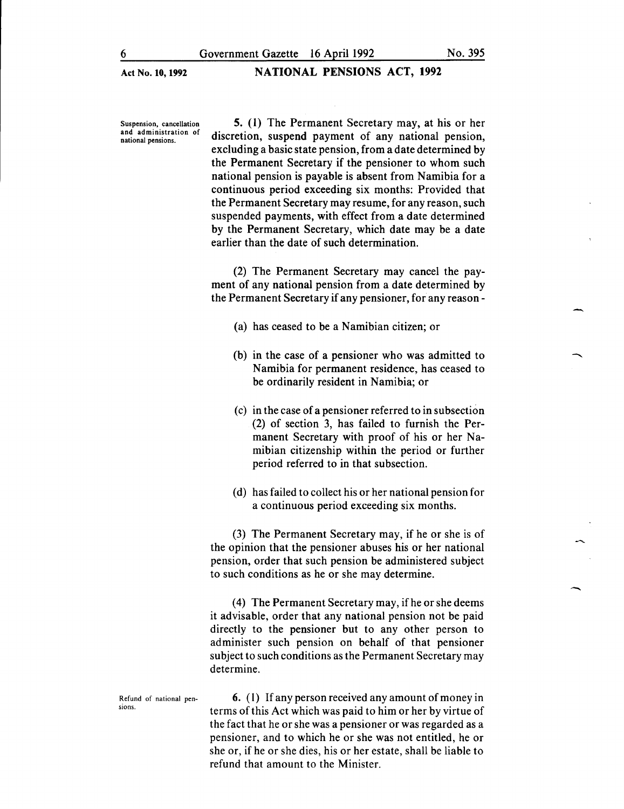Suspension, cancellation and administration of national pensions.

5. (1) The Permanent Secretary may, at his or her discretion, suspend payment of any national pension, excluding a basic state pension, from a date determined by the Permanent Secretary if the pensioner to whom such national pension is payable is absent from Namibia for a continuous period exceeding six months: Provided that the Permanent Secretary may resume, for any reason, such suspended payments, with effect from a date determined by the Permanent Secretary, which date may be a date earlier than the date of such determination.

(2) The Permanent Secretary may cancel the payment of any national pension from a date determined by the Permanent Secretary if any pensioner, for any reason-

- (a) has ceased to be a Namibian citizen; or
- (b) in the case of a pensioner who was admitted to Namibia for permanent residence, has ceased to be ordinarily resident in Namibia; or
- (c) in the case of a pensioner referred to in subsection (2) of section 3, has failed to furnish the Permanent Secretary with proof of his or her Namibian citizenship within the period or further period referred to in that subsection.
- (d) has failed to collect his or her national pension for a continuous period exceeding six months.

(3) The Permanent Secretary may, if he or she is of the opinion that the pensioner abuses his or her national pension, order that such pension be administered subject to such conditions as he or she may determine.

(4) The Permanent Secretary may, if he or she deems it advisable, order that any national pension not be paid directly to the pensioner but to any other person to administer such pension on behalf of that pensioner subject to such conditions as the Permanent Secretary may determine.

Refund of national pensions. 6. ( 1) If any person received any amount of money in terms of this Act which was paid to him or her by virtue of the fact that he or she was a pensioner or was regarded as a pensioner, and to which he or she was not entitled, he or she or, if he or she dies, his or her estate, shall be liable to refund that amount to the Minister.

-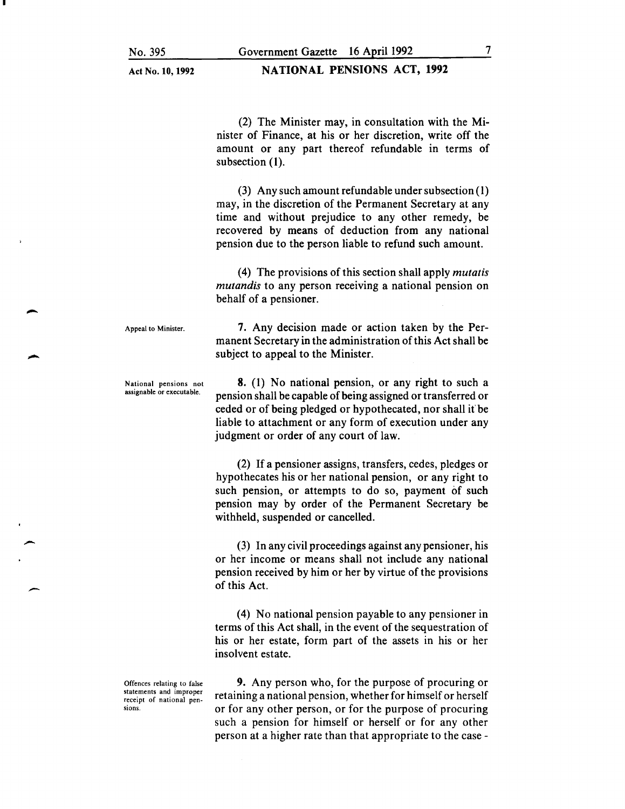Act No. 10, 1992

#### NATIONAL PENSIONS ACT, 1992

(2) The Minister may, in consultation with the Minister of Finance, at his or her discretion, write off the amount or any part thereof refundable in terms of subsection (1).

(3) Any such amount refundable under subsection ( 1) may, in the discretion of the Permanent Secretary at any time and without prejudice to any other remedy, be recovered by means of deduction from any national pension due to the person liable to refund such amount.

( 4) The provisions of this section shall apply *mutatis mutandis* to any person receiving a national pension on behalf of a pensioner.

7. Any decision made or action taken by the Permanent Secretary in the administration of this Act shall be

Appeal to Minister.

-

-

-

National pensions not assignable or executable.

8. (I) No national pension, or any right to such a pension shall be capable of being assigned or transferred or ceded or of being pledged or hypothecated, nor shall it' be liable to attachment or any form of execution under any judgment or order of any court of law.

subject to appeal to the Minister.

(2) If a pensioner assigns, transfers, cedes, pledges or hypothecates his or her national pension, or any right to such pension, or attempts to do so, payment of such pension may by order of the Permanent Secretary be withheld, suspended or cancelled.

(3) In any civil proceedings against any pensioner, his or her income or means shall not include any national pension received by him or her by virtue of the provisions of this Act.

(4) No national pension payable to any pensioner in terms of this Act shall, in the event of the sequestration of his or her estate, form part of the assets in his or her insolvent estate.

9. Any person who, for the purpose of procuring or retaining a national pension, whether for himself or herself or for any other person, or for the purpose of procuring such a pension for himself or herself or for any other person at a higher rate than that appropriate to the case -

Offences relating to false statements and improper receipt of national pensions.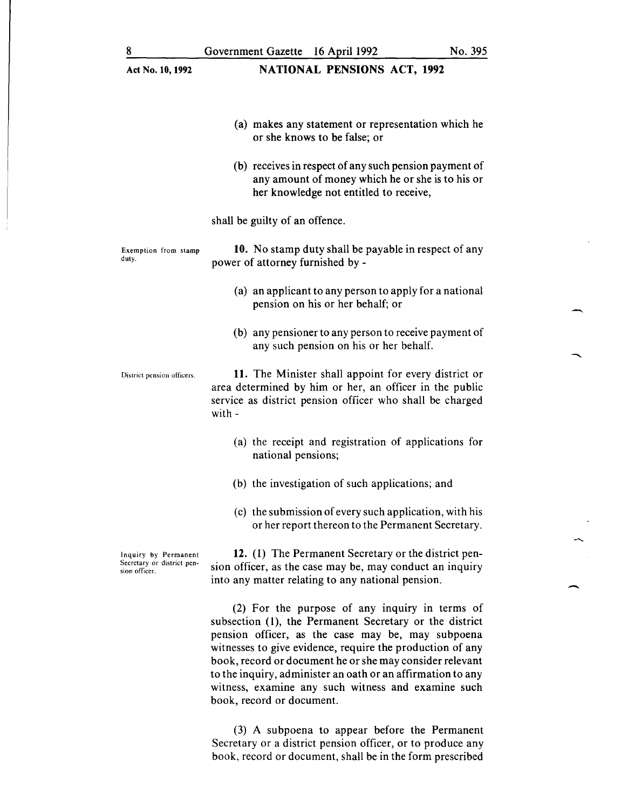| 8                                                                   | Government Gazette 16 April 1992                                                                                                                                                      | No. 395 |
|---------------------------------------------------------------------|---------------------------------------------------------------------------------------------------------------------------------------------------------------------------------------|---------|
| Act No. 10, 1992                                                    | <b>NATIONAL PENSIONS ACT, 1992</b>                                                                                                                                                    |         |
|                                                                     | (a) makes any statement or representation which he<br>or she knows to be false; or                                                                                                    |         |
|                                                                     | (b) receives in respect of any such pension payment of<br>any amount of money which he or she is to his or<br>her knowledge not entitled to receive,                                  |         |
|                                                                     | shall be guilty of an offence.                                                                                                                                                        |         |
| Exemption from stamp<br>duty.                                       | 10. No stamp duty shall be payable in respect of any<br>power of attorney furnished by -                                                                                              |         |
|                                                                     | (a) an applicant to any person to apply for a national<br>pension on his or her behalf; or                                                                                            |         |
|                                                                     | (b) any pensioner to any person to receive payment of<br>any such pension on his or her behalf.                                                                                       |         |
| District pension officers.                                          | 11. The Minister shall appoint for every district or<br>area determined by him or her, an officer in the public<br>service as district pension officer who shall be charged<br>with - |         |
|                                                                     | (a) the receipt and registration of applications for<br>national pensions;                                                                                                            |         |
|                                                                     | (b) the investigation of such applications; and                                                                                                                                       |         |
|                                                                     | (c) the submission of every such application, with his<br>or her report thereon to the Permanent Secretary.                                                                           |         |
| Inquiry by Permanent<br>Secretary or district pen-<br>sion officer. | 12. (1) The Permanent Secretary or the district pen-<br>sion officer, as the case may be, may conduct an inquiry<br>into any matter relating to any national pension.                 |         |
|                                                                     | (2) For the purpose of any inquiry in terms of<br>subsection (1), the Permanent Secretary or the district<br>pension officer as the case may be may subpoena                          |         |

-

 $\overline{\phantom{a}}$ 

pension officer, as the case may be, may subpoena witnesses to give evidence, require the production of any book, record or document he or she may consider relevant to the inquiry, administer an oath or an affirmation to any witness, examine any such witness and examine such book, record or document.

(3) A subpoena to appear before the Permanent Secretary or a district pension officer, or to produce any book, record or document, shall be in the form prescribed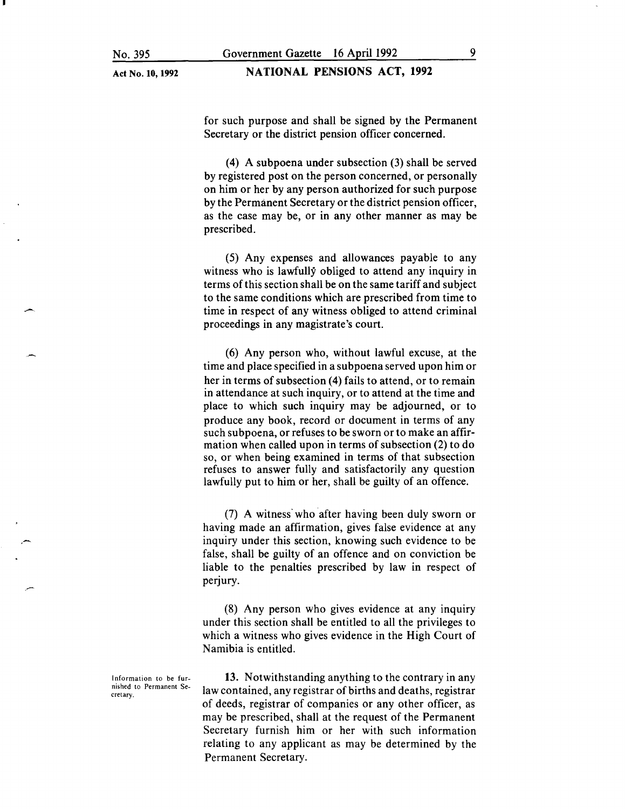Act No. 10, 1992

#### NATIONAL PENSIONS ACT, 1992

for such purpose and shall be signed by the Permanent Secretary or the district pension officer concerned.

(4) A subpoena under subsection (3) shall be served by registered post on the person concerned, or personally on him or her by any person authorized for such purpose by the Permanent Secretary or the district pension officer, as the case may be, or in any other manner as may be prescribed.

(5) Any expenses and allowances payable to any witness who is lawfully obliged to attend any inquiry in terms of this section shall be on the same tariff and subject to the same conditions which are prescribed from time to time in respect of any witness obliged to attend criminal proceedings in any magistrate's court.

(6) Any person who, without lawful excuse, at the time and place specified in a subpoena served upon him or her in terms of subsection (4) fails to attend, or to remain in attendance at such inquiry, or to attend at the time and place to which such inquiry may be adjourned, or to produce any book, record or document in terms of any such subpoena, or refuses to be sworn or to make an affirmation when called upon in terms of subsection (2) to do so, or when being examined in terms of that subsection refuses to answer fully and satisfactorily any question lawfully put to him or her, shall be guilty of an offence.

(7) A witness· who after having been duly sworn or having made an affirmation, gives false evidence at any inquiry under this section, knowing such evidence to be false, shall be guilty of an offence and on conviction be liable to the penalties prescribed by law in respect of perjury.

(8) Any person who gives evidence at any inquiry under this section shall be entitled to all the privileges to which a witness who gives evidence in the High Court of Namibia is entitled.

13. Notwithstanding anything to the contrary in any law contained, any registrar of births and deaths, registrar of deeds, registrar of companies or any other officer, as may be prescribed, shall at the request of the Permanent Secretary furnish him or her with such information relating to any applicant as may be determined by the Permanent Secretary.

Information to be furnished to Permanent Secretary.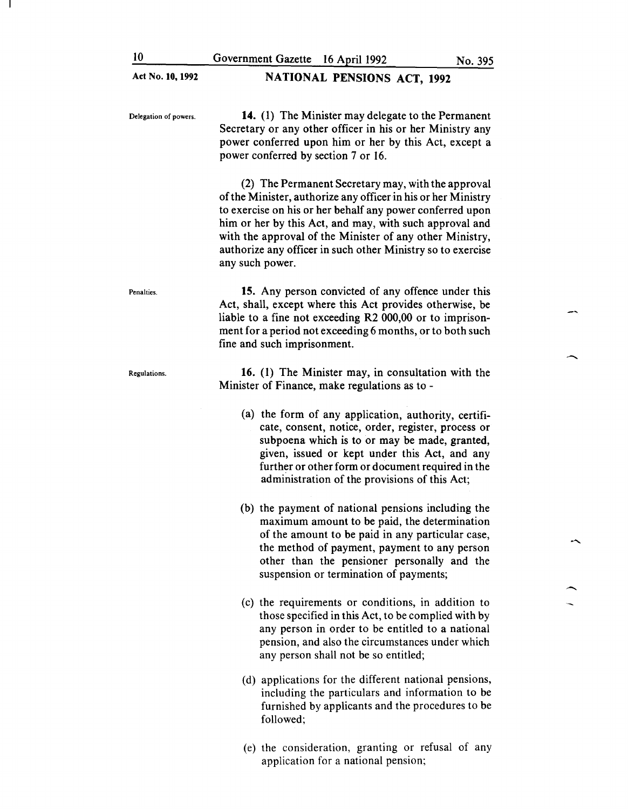| Act No. 10, 1992      | <b>NATIONAL PENSIONS ACT, 1992</b>                                                                                                                                                                                                                                                                                                                                                        |
|-----------------------|-------------------------------------------------------------------------------------------------------------------------------------------------------------------------------------------------------------------------------------------------------------------------------------------------------------------------------------------------------------------------------------------|
| Delegation of powers. | 14. (1) The Minister may delegate to the Permanent<br>Secretary or any other officer in his or her Ministry any<br>power conferred upon him or her by this Act, except a<br>power conferred by section 7 or 16.                                                                                                                                                                           |
|                       | (2) The Permanent Secretary may, with the approval<br>of the Minister, authorize any officer in his or her Ministry<br>to exercise on his or her behalf any power conferred upon<br>him or her by this Act, and may, with such approval and<br>with the approval of the Minister of any other Ministry,<br>authorize any officer in such other Ministry so to exercise<br>any such power. |
| Penalties.            | 15. Any person convicted of any offence under this<br>Act, shall, except where this Act provides otherwise, be<br>liable to a fine not exceeding R2 000,00 or to imprison-<br>ment for a period not exceeding 6 months, or to both such<br>fine and such imprisonment.                                                                                                                    |
| Regulations.          | 16. (1) The Minister may, in consultation with the<br>Minister of Finance, make regulations as to -                                                                                                                                                                                                                                                                                       |
|                       | (a) the form of any application, authority, certifi-<br>cate, consent, notice, order, register, process or<br>subpoena which is to or may be made, granted,<br>given, issued or kept under this Act, and any<br>further or other form or document required in the<br>administration of the provisions of this Act;                                                                        |
|                       | (b) the payment of national pensions including the<br>maximum amount to be paid, the determination<br>of the amount to be paid in any particular case,<br>the method of payment, payment to any person<br>other than the pensioner personally and the<br>suspension or termination of payments;                                                                                           |
|                       | (c) the requirements or conditions, in addition to<br>those specified in this Act, to be complied with by<br>any person in order to be entitled to a national<br>pension, and also the circumstances under which<br>any person shall not be so entitled;                                                                                                                                  |
|                       | (d) applications for the different national pensions,<br>including the particulars and information to be<br>furnished by applicants and the procedures to be<br>followed;                                                                                                                                                                                                                 |

 $\mathbf{I}$ 

 $\overline{\phantom{a}}$ 

 $\overline{\phantom{a}}$ 

 $\overline{a}$ 

 $\overline{\phantom{a}}$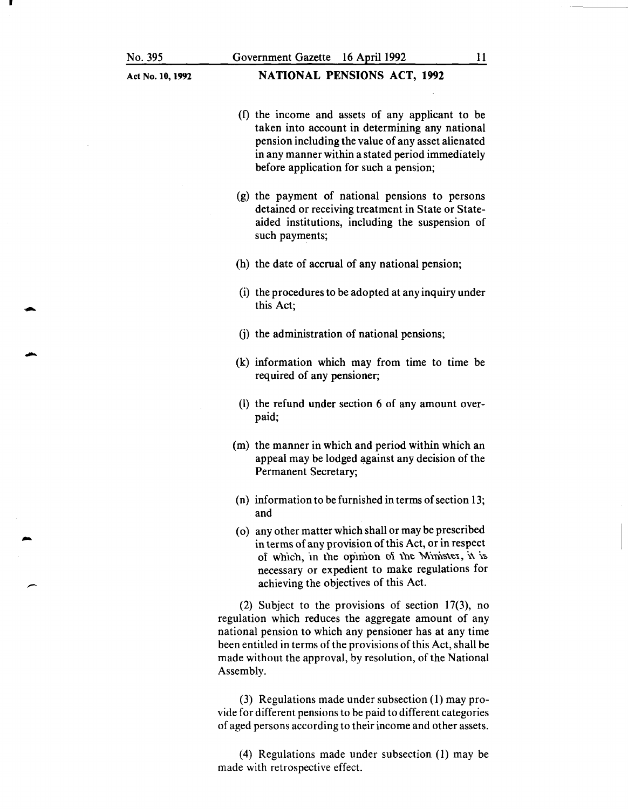•

-

-

#### Act No. 10, 1992

### NATIONAL PENSIONS ACT, 1992

- (f) the income and assets of any applicant to be taken into account in determining any national pension including the value of any asset alienated in any manner within a stated period immediately before application for such a pension;
- (g) the payment of national pensions to persons detained or receiving treatment in State or Stateaided institutions, including the suspension of such payments;
- (h) the date of accrual of any national pension;
- (i) the procedures to be adopted at any inquiry under this Act;
- (j) the administration of national pensions;
- (k) information which may from time to time be required of any pensioner;
- (1) the refund under section 6 of any amount overpaid;
- (m) the manner in which and period within which an appeal may be lodged against any decision of the Permanent Secretary;
- (n) information to be furnished in terms of section 13; and
- ( o) any other matter which shall or may be prescribed in terms of any provision of this Act, or in respect of which, in the opinion of the Minister, it is. necessary or expedient to make regulations for achieving the objectives of this Act.

(2) Subject to the provisions of section 17(3), no regulation which reduces the aggregate amount of any national pension to which any pensioner has at any time been entitled in terms of the provisions of this Act, shall be made without the approval, by resolution, of the National Assembly.

(3) Regulations made under subsection (1) may provide for different pensions to be paid to different categories of aged persons according to their income and other assets.

(4) Regulations made under subsection (1) may be made with retrospective effect.